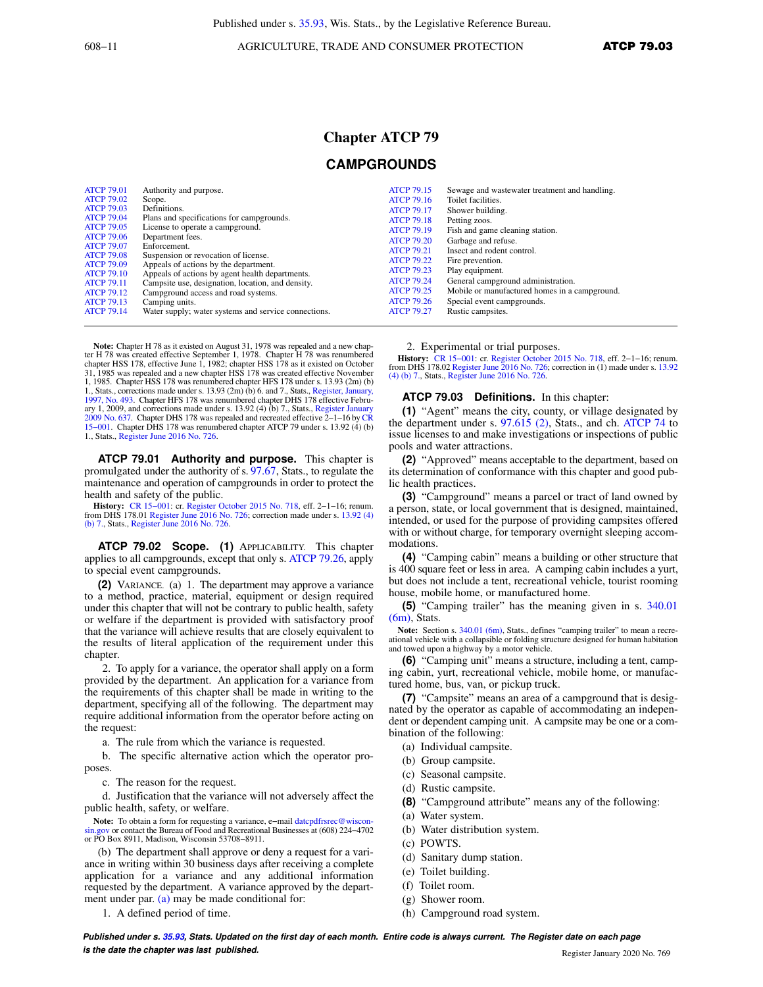608−11 AGRICULTURE, TRADE AND CONSUMER PROTECTION ATCP 79.03

## **Chapter ATCP 79**

## **CAMPGROUNDS**

**Note:** Chapter H 78 as it existed on August 31, 1978 was repealed and a new chapter H 78 was created effective September 1, 1978. Chapter H 78 was renumbered chapter HSS 178, effective June 1, 1982; chapter HSS 178 as it existed on October<br>31, 1985 was repealed and a new chapter HSS 178 was created effective November<br>1, 1985. Chapter HSS 178 was renumbered chapter HFS 178 under 1., Stats., corrections made under s. 13.93 (2m) (b) 6. and 7., Stats., Register, January, 1997, No. 493. Chapter HFS 178 was renumbered chapter DHS 178 effective February 1, 2009, and corrections made under s. 13.92 (4) (b) 7., Stats., Register January 2009 No. 637. Chapter DHS 178 was repealed and recreated effective 2−1−16 by CR 15−001. Chapter DHS 178 was renumbered chapter ATCP 79 under s. 13.92 (4) (b) 1., Stats., Register June 2016 No. 726.

**ATCP 79.01 Authority and purpose.** This chapter is promulgated under the authority of s. 97.67, Stats., to regulate the maintenance and operation of campgrounds in order to protect the health and safety of the public.

History: CR 15–001: cr. Register October 2015 No. 718, eff. 2–1–16; renum.<br>from DHS 178.01 Register June 2016 No. 726; correction made under s. 13.92 (4)<br>(b) 7., Stats., Register June 2016 No. 726.

**ATCP 79.02 Scope. (1)** APPLICABILITY. This chapter applies to all campgrounds, except that only s. ATCP 79.26, apply to special event campgrounds.

**(2)** VARIANCE. (a) 1. The department may approve a variance to a method, practice, material, equipment or design required under this chapter that will not be contrary to public health, safety or welfare if the department is provided with satisfactory proof that the variance will achieve results that are closely equivalent to the results of literal application of the requirement under this chapter.

2. To apply for a variance, the operator shall apply on a form provided by the department. An application for a variance from the requirements of this chapter shall be made in writing to the department, specifying all of the following. The department may require additional information from the operator before acting on the request:

a. The rule from which the variance is requested.

b. The specific alternative action which the operator proposes.

c. The reason for the request.

d. Justification that the variance will not adversely affect the public health, safety, or welfare.

Note: To obtain a form for requesting a variance, e-mail datcpdfrsrec@wisconsin.gov or contact the Bureau of Food and Recreational Businesses at (608) 224−4702 or PO Box 8911, Madison, Wisconsin 53708−8911.

(b) The department shall approve or deny a request for a variance in writing within 30 business days after receiving a complete application for a variance and any additional information requested by the department. A variance approved by the department under par. (a) may be made conditional for:

1. A defined period of time.

2. Experimental or trial purposes.

**History:** CR 15−001: cr. Register October 2015 No. 718, eff. 2−1−16; renum. from DHS 178.02 Register June 2016 No. 726; correction in (1) made under s. 13.92 (4) (b) 7., Stats., Register June 2016 No. 726.

## **ATCP 79.03 Definitions.** In this chapter:

**(1)** "Agent" means the city, county, or village designated by the department under s. 97.615 (2), Stats., and ch. ATCP 74 to issue licenses to and make investigations or inspections of public pools and water attractions.

**(2)** "Approved" means acceptable to the department, based on its determination of conformance with this chapter and good public health practices.

**(3)** "Campground" means a parcel or tract of land owned by a person, state, or local government that is designed, maintained, intended, or used for the purpose of providing campsites offered with or without charge, for temporary overnight sleeping accommodations.

**(4)** "Camping cabin" means a building or other structure that is 400 square feet or less in area. A camping cabin includes a yurt, but does not include a tent, recreational vehicle, tourist rooming house, mobile home, or manufactured home.

**(5)** "Camping trailer" has the meaning given in s. 340.01 (6m), Stats.

Note: Section s. 340.01 (6m), Stats., defines "camping trailer" to mean a recreational vehicle with a collapsible or folding structure designed for human habitation and towed upon a highway by a motor vehicle.

**(6)** "Camping unit" means a structure, including a tent, camping cabin, yurt, recreational vehicle, mobile home, or manufactured home, bus, van, or pickup truck.

**(7)** "Campsite" means an area of a campground that is designated by the operator as capable of accommodating an independent or dependent camping unit. A campsite may be one or a combination of the following:

- (a) Individual campsite.
- (b) Group campsite.
- (c) Seasonal campsite.
- (d) Rustic campsite.
- **(8)** "Campground attribute" means any of the following:
- (a) Water system.
- (b) Water distribution system.
- (c) POWTS.
- (d) Sanitary dump station.
- (e) Toilet building.
- (f) Toilet room.
- (g) Shower room.
- (h) Campground road system.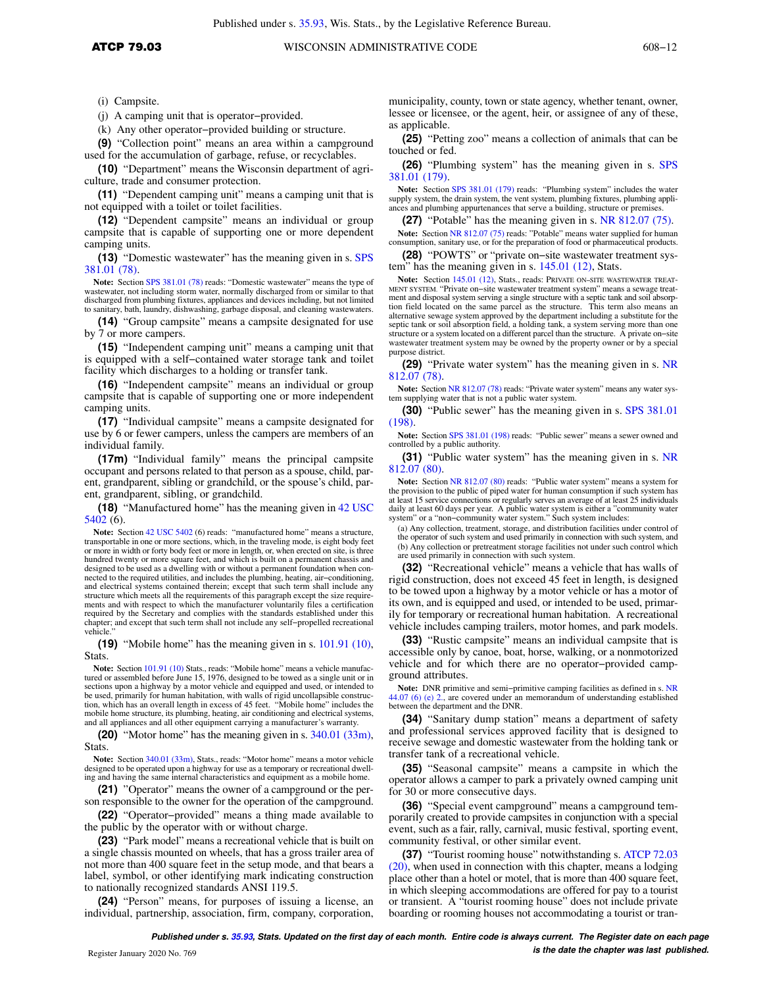(i) Campsite.

(j) A camping unit that is operator−provided.

(k) Any other operator−provided building or structure.

**(9)** "Collection point" means an area within a campground used for the accumulation of garbage, refuse, or recyclables.

**(10)** "Department" means the Wisconsin department of agriculture, trade and consumer protection.

**(11)** "Dependent camping unit" means a camping unit that is not equipped with a toilet or toilet facilities.

**(12)** "Dependent campsite" means an individual or group campsite that is capable of supporting one or more dependent camping units.

**(13)** "Domestic wastewater" has the meaning given in s. SPS 381.01 (78).

**Note:** Section SPS 381.01 (78) reads: "Domestic wastewater" means the type of wastewater, not including storm water, normally discharged from or similar to that discharged from plumbing fixtures, appliances and devices including, but not limited to sanitary, bath, laundry, dishwashing, garbage disposal, and cleaning wastewaters.

**(14)** "Group campsite" means a campsite designated for use by 7 or more campers.

**(15)** "Independent camping unit" means a camping unit that is equipped with a self−contained water storage tank and toilet facility which discharges to a holding or transfer tank.

**(16)** "Independent campsite" means an individual or group campsite that is capable of supporting one or more independent camping units.

**(17)** "Individual campsite" means a campsite designated for use by 6 or fewer campers, unless the campers are members of an individual family.

**(17m)** "Individual family" means the principal campsite occupant and persons related to that person as a spouse, child, parent, grandparent, sibling or grandchild, or the spouse's child, parent, grandparent, sibling, or grandchild.

**(18)** "Manufactured home" has the meaning given in 42 USC 5402 (6).

**Note:** Section 42 USC 5402 (6) reads: "manufactured home" means a structure, transportable in one or more sections, which, in the traveling mode, is eight body feet or more in width or forty body feet or more in length, or, when erected on site, is three hundred twenty or more square feet, and which is built on a permanent chassis and designed to be used as a dwelling with or without a permanent foundation when connected to the required utilities, and includes the plumbing, heating, air−conditioning, and electrical systems contained therein; except that such term shall include any structure which meets all the requirements of this paragraph except the size requirements and with respect to which the manufacturer voluntarily files a certification required by the Secretary and complies with the standards established under this chapter; and except that such term shall not include any self−propelled recreational vehicle.

**(19)** "Mobile home" has the meaning given in s. 101.91 (10), Stats.

**Note:** Section 101.91 (10) Stats., reads: "Mobile home" means a vehicle manufactured or assembled before June 15, 1976, designed to be towed as a single unit or in sections upon a highway by a motor vehicle and equipped and used, or intended to be used, primarily for human habitation, with walls of rigid uncollapsible construction, which has an overall length in excess of 45 feet. "Mobile home" includes the mobile home structure, its plumbing, heating, air conditioning and electrical systems, and all appliances and all other equipment carrying a manufacturer's warranty.

**(20)** "Motor home" has the meaning given in s. 340.01 (33m), Stats.

**Note:** Section 340.01 (33m), Stats., reads: "Motor home" means a motor vehicle designed to be operated upon a highway for use as a temporary or recreational dwelling and having the same internal characteristics and equipment as a mobile home.

**(21)** "Operator" means the owner of a campground or the person responsible to the owner for the operation of the campground.

**(22)** "Operator−provided" means a thing made available to the public by the operator with or without charge.

**(23)** "Park model" means a recreational vehicle that is built on a single chassis mounted on wheels, that has a gross trailer area of not more than 400 square feet in the setup mode, and that bears a label, symbol, or other identifying mark indicating construction to nationally recognized standards ANSI 119.5.

**(24)** "Person" means, for purposes of issuing a license, an individual, partnership, association, firm, company, corporation,

municipality, county, town or state agency, whether tenant, owner, lessee or licensee, or the agent, heir, or assignee of any of these, as applicable.

**(25)** "Petting zoo" means a collection of animals that can be touched or fed.

**(26)** "Plumbing system" has the meaning given in s. SPS 381.01 (179).

**Note:** Section SPS 381.01 (179) reads: "Plumbing system" includes the water supply system, the drain system, the vent system, plumbing fixtures, plumbing appli-ances and plumbing appurtenances that serve a building, structure or premises.

**(27)** "Potable" has the meaning given in s. NR 812.07 (75).

**Note:** Section NR 812.07 (75) reads: "Potable" means water supplied for human consumption, sanitary use, or for the preparation of food or pharmaceutical products.

**(28)** "POWTS" or "private on−site wastewater treatment system" has the meaning given in s. 145.01 (12), Stats.

**Note:** Section 145.01 (12), Stats., reads: PRIVATE ON−SITE WASTEWATER TREAT-MENT SYSTEM. "Private on−site wastewater treatment system" means a sewage treatment and disposal system serving a single structure with a septic tank and soil absorp-tion field located on the same parcel as the structure. This term also means an alternative sewage system approved by the department including a substitute for the septic tank or soil absorption field, a holding tank, a system serving more than one structure or a system located on a different parcel than the structure. A private on−site wastewater treatment system may be owned by the property owner or by a special purpose district.

**(29)** "Private water system" has the meaning given in s. NR 812.07 (78).

**Note:** Section NR 812.07 (78) reads: "Private water system" means any water system supplying water that is not a public water system.

**(30)** "Public sewer" has the meaning given in s. SPS 381.01 (198).

Note: Section SPS 381.01 (198) reads: "Public sewer" means a sewer owned and controlled by a public authority.

**(31)** "Public water system" has the meaning given in s. NR 812.07 (80).

**Note:** Section NR 812.07 (80) reads: "Public water system" means a system for the provision to the public of piped water for human consumption if such system has at least 15 service connections or regularly serves an average of at least 25 individuals daily at least 60 days per year. A public water system is either a "community water system" or a "non−community water system." Such system includes:

(a) Any collection, treatment, storage, and distribution facilities under control of the operator of such system and used primarily in connection with such system, and (b) Any collection or pretreatment storage facilities not under such control which are used primarily in connection with such system.

**(32)** "Recreational vehicle" means a vehicle that has walls of rigid construction, does not exceed 45 feet in length, is designed to be towed upon a highway by a motor vehicle or has a motor of its own, and is equipped and used, or intended to be used, primarily for temporary or recreational human habitation. A recreational vehicle includes camping trailers, motor homes, and park models.

**(33)** "Rustic campsite" means an individual campsite that is accessible only by canoe, boat, horse, walking, or a nonmotorized vehicle and for which there are no operator−provided campground attributes.

Note: DNR primitive and semi–primitive camping facilities as defined in s. NR 44.07 (6) (e) 2., are covered under an memorandum of understanding established between the department and the DNR.

**(34)** "Sanitary dump station" means a department of safety and professional services approved facility that is designed to receive sewage and domestic wastewater from the holding tank or transfer tank of a recreational vehicle.

**(35)** "Seasonal campsite" means a campsite in which the operator allows a camper to park a privately owned camping unit for 30 or more consecutive days.

**(36)** "Special event campground" means a campground temporarily created to provide campsites in conjunction with a special event, such as a fair, rally, carnival, music festival, sporting event, community festival, or other similar event.

**(37)** "Tourist rooming house" notwithstanding s. ATCP 72.03 (20), when used in connection with this chapter, means a lodging place other than a hotel or motel, that is more than 400 square feet, in which sleeping accommodations are offered for pay to a tourist or transient. A "tourist rooming house" does not include private boarding or rooming houses not accommodating a tourist or tran-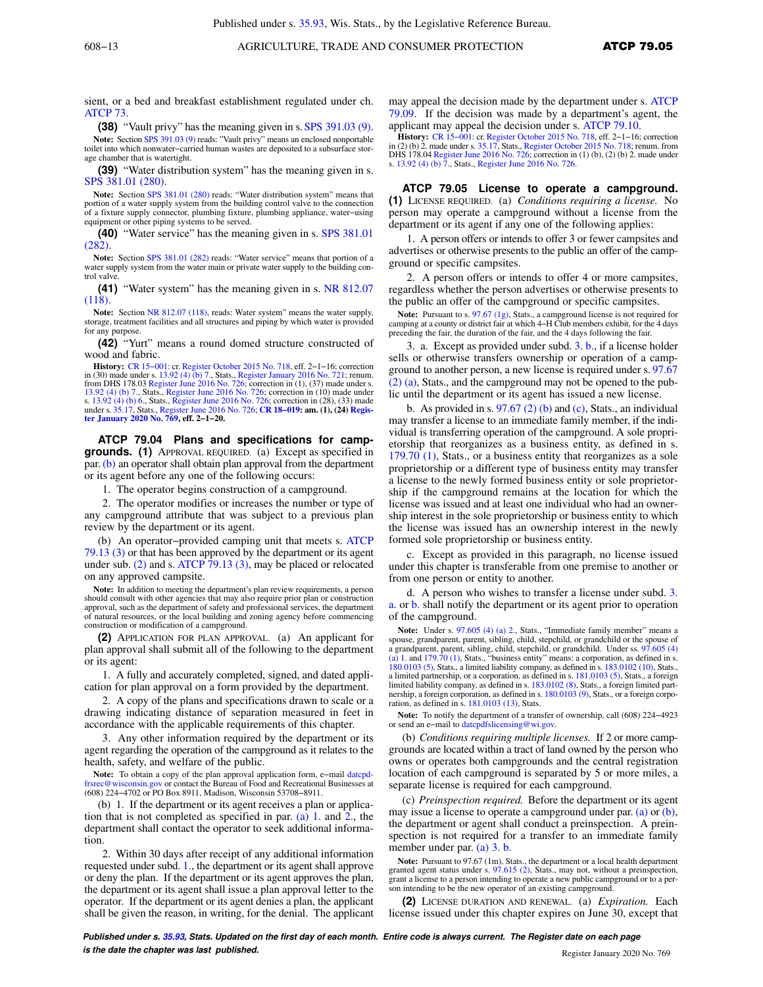sient, or a bed and breakfast establishment regulated under ch. ATCP 73.

**(38)** "Vault privy" has the meaning given in s. SPS 391.03 (9). Note: Section SPS 391.03 (9) reads: "Vault privy" means an enclosed nonportable toilet into which nonwater–carried human wastes are deposited to a subsurface storage chamber that is watertight.

**(39)** "Water distribution system" has the meaning given in s. SPS 381.01 (280).

**Note:** Section SPS 381.01 (280) reads: "Water distribution system" means that portion of a water supply system from the building control valve to the connection of a fixture supply connector, plumbing fixture, plumbing appliance, water−using equipment or other piping systems to be served.

**(40)** "Water service" has the meaning given in s. SPS 381.01 (282).

**Note:** Section SPS 381.01 (282) reads: "Water service" means that portion of a water supply system from the water main or private water supply to the building control valve.

**(41)** "Water system" has the meaning given in s. NR 812.07 (118).

**Note:** Section NR 812.07 (118), reads: Water system" means the water supply, storage, treatment facilities and all structures and piping by which water is provided for any purpose.

**(42)** "Yurt" means a round domed structure constructed of wood and fabric.

**History:** CR 15−001: cr. Register October 2015 No. 718, eff. 2−1−16; correction in (30) made under s. 13.92 (4) (b) 7., Stats., Register January 2016 No. 721; renum. from DHS 178.03 Register June 2016 No. 726; correction in (1), (37) made under s.<br>13.92 (4) (b) 7., Stats., Register June 2016 No. 726; correction in (10) made under<br>s. 13.92 (4) (b) 6., Stats., Register June 2016 No. 726 under s. 35.17, Stats., Register June 2016 No. 726; **CR 18−019: am. (1), (24) Regis-ter January 2020 No. 769, eff. 2−1−20.**

**ATCP 79.04 Plans and specifications for campgrounds. (1)** APPROVAL REQUIRED. (a) Except as specified in par.(b) an operator shall obtain plan approval from the department or its agent before any one of the following occurs:

1. The operator begins construction of a campground.

2. The operator modifies or increases the number or type of any campground attribute that was subject to a previous plan review by the department or its agent.

(b) An operator−provided camping unit that meets s. ATCP 79.13 (3) or that has been approved by the department or its agent under sub. (2) and s. ATCP 79.13 (3), may be placed or relocated on any approved campsite.

Note: In addition to meeting the department's plan review requirements, a person should consult with other agencies that may also require prior plan or construction approval, such as the department of safety and professional services, the department of natural resources, or the local building and zoning agency before commencing construction or modification of a campground.

**(2)** APPLICATION FOR PLAN APPROVAL. (a) An applicant for plan approval shall submit all of the following to the department or its agent:

1. A fully and accurately completed, signed, and dated application for plan approval on a form provided by the department.

2. A copy of the plans and specifications drawn to scale or a drawing indicating distance of separation measured in feet in accordance with the applicable requirements of this chapter.

3. Any other information required by the department or its agent regarding the operation of the campground as it relates to the health, safety, and welfare of the public.

**Note:** To obtain a copy of the plan approval application form, e−mail datcpdfrsrec@wisconsin.gov or contact the Bureau of Food and Recreational Businesses at (608) 224−4702 or PO Box 8911, Madison, Wisconsin 53708−8911.

(b) 1. If the department or its agent receives a plan or application that is not completed as specified in par. (a) 1. and 2., the department shall contact the operator to seek additional information.

2. Within 30 days after receipt of any additional information requested under subd. 1., the department or its agent shall approve or deny the plan. If the department or its agent approves the plan, the department or its agent shall issue a plan approval letter to the operator. If the department or its agent denies a plan, the applicant shall be given the reason, in writing, for the denial. The applicant may appeal the decision made by the department under s. ATCP 79.09. If the decision was made by a department's agent, the applicant may appeal the decision under s. ATCP 79.10.

**History:** CR 15–001: cr. Register October 2015 No. 718, eff. 2–1–16; correction in (2) (b) 2. made under s. 35.17, Stats., Register October 2015 No. 718; renum. from<br>DHS 178.04 Register June 2016 No. 726; correction in ( s. 13.92 (4) (b) 7., Stats., Register June 2016 No. 726.

**ATCP 79.05 License to operate a campground. (1)** LICENSE REQUIRED. (a) *Conditions requiring a license.* No person may operate a campground without a license from the department or its agent if any one of the following applies:

1. A person offers or intends to offer 3 or fewer campsites and advertises or otherwise presents to the public an offer of the campground or specific campsites.

2. A person offers or intends to offer 4 or more campsites, regardless whether the person advertises or otherwise presents to the public an offer of the campground or specific campsites.

**Note:** Pursuant to s. 97.67 (1g), Stats., a campground license is not required for camping at a county or district fair at which 4−H Club members exhibit, for the 4 days preceding the fair, the duration of the fair, and the 4 days following the fair.

3. a. Except as provided under subd. 3. b., if a license holder sells or otherwise transfers ownership or operation of a campground to another person, a new license is required under s. 97.67 (2) (a), Stats., and the campground may not be opened to the public until the department or its agent has issued a new license.

b. As provided in s.  $97.67$  (2) (b) and (c), Stats., an individual may transfer a license to an immediate family member, if the individual is transferring operation of the campground. A sole proprietorship that reorganizes as a business entity, as defined in s. 179.70 (1), Stats., or a business entity that reorganizes as a sole proprietorship or a different type of business entity may transfer a license to the newly formed business entity or sole proprietorship if the campground remains at the location for which the license was issued and at least one individual who had an ownership interest in the sole proprietorship or business entity to which the license was issued has an ownership interest in the newly formed sole proprietorship or business entity.

c. Except as provided in this paragraph, no license issued under this chapter is transferable from one premise to another or from one person or entity to another.

d. A person who wishes to transfer a license under subd. 3. a. or b. shall notify the department or its agent prior to operation of the campground.

Note: Under s. 97.605 (4) (a) 2., Stats., "Immediate family member" means a spouse, grandparent, parent, sibling, child, stepchild, or grandchild or the spouse of<br>a grandparent, parent, sibling, child, stepchild, or grandchild. Under ss. 97.605 (4)<br>(a) 1. and 179.70 (1), Stats., "business entity" 180.0103 (5), Stats., a limited liability company, as defined in s. 183.0102 (10), Stats., a limited partnership, or a corporation, as defined in s. 181.0103 (5), Stats., a foreign limited liability company, as defined in s. 183.0102 (8), Stats., a foreign limited partnership, a foreign corporation, as defined in s. 180.0103 (9), Stats., or a foreign corporation, as defined in s. 181.0103 (13), Stats.

**Note:** To notify the department of a transfer of ownership, call (608) 224−4923 or send an e−mail to datcpdfslicensing@wi.gov.

(b) *Conditions requiring multiple licenses.* If 2 or more campgrounds are located within a tract of land owned by the person who owns or operates both campgrounds and the central registration location of each campground is separated by 5 or more miles, a separate license is required for each campground.

(c) *Preinspection required.* Before the department or its agent may issue a license to operate a campground under par.  $(a)$  or  $(b)$ , the department or agent shall conduct a preinspection. A preinspection is not required for a transfer to an immediate family member under par. (a) 3. b.

**Note:** Pursuant to 97.67 (1m), Stats., the department or a local health department granted agent status under s. 97.615 (2), Stats., may not, without a preinspection, grant a license to a person intending to operate a new public campground or to a person intending to be the new operator of an existing campground.

**(2)** LICENSE DURATION AND RENEWAL. (a) *Expiration.* Each license issued under this chapter expires on June 30, except that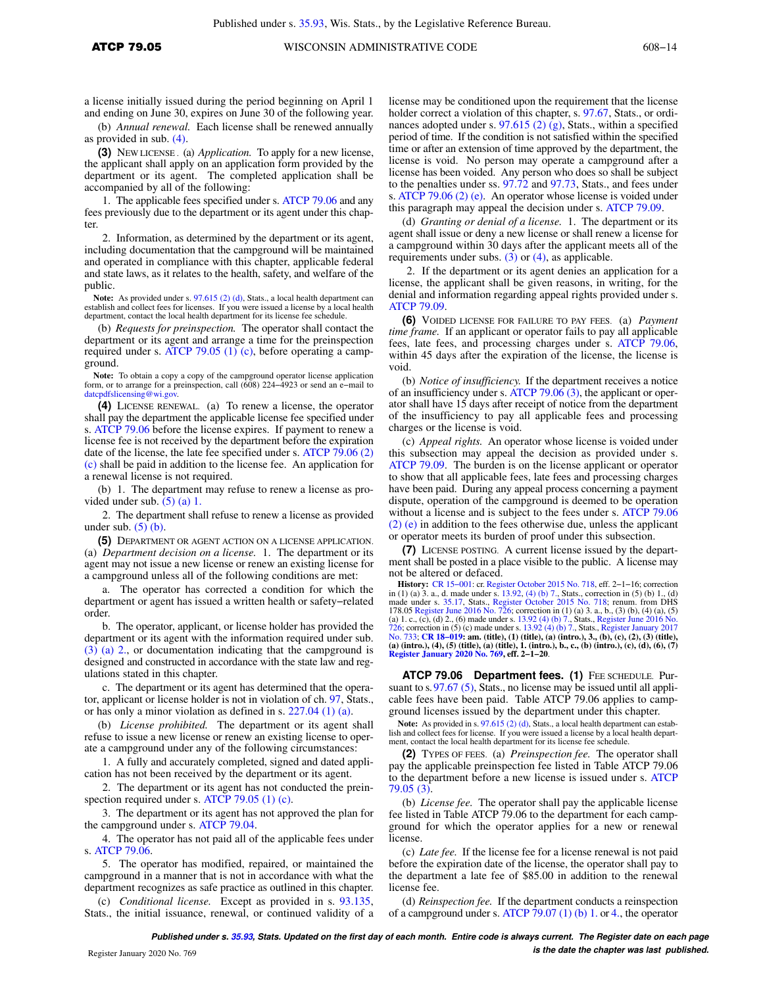a license initially issued during the period beginning on April 1 and ending on June 30, expires on June 30 of the following year.

(b) *Annual renewal.* Each license shall be renewed annually as provided in sub. (4).

**(3)** NEW LICENSE . (a) *Application.* To apply for a new license, the applicant shall apply on an application form provided by the department or its agent. The completed application shall be accompanied by all of the following:

1. The applicable fees specified under s. ATCP 79.06 and any fees previously due to the department or its agent under this chapter.

2. Information, as determined by the department or its agent, including documentation that the campground will be maintained and operated in compliance with this chapter, applicable federal and state laws, as it relates to the health, safety, and welfare of the public.

**Note:** As provided under s. 97.615 (2) (d), Stats., a local health department can establish and collect fees for licenses. If you were issued a license by a local health department, contact the local health department for its license fee schedule.

(b) *Requests for preinspection.* The operator shall contact the department or its agent and arrange a time for the preinspection required under s. ATCP 79.05 (1) (c), before operating a campground.

**Note:** To obtain a copy a copy of the campground operator license application form, or to arrange for a preinspection, call (608) 224−4923 or send an e−mail to datcpdfslicensing@wi.gov.

**(4)** LICENSE RENEWAL. (a) To renew a license, the operator shall pay the department the applicable license fee specified under s. ATCP 79.06 before the license expires. If payment to renew a license fee is not received by the department before the expiration date of the license, the late fee specified under s. ATCP 79.06 (2) (c) shall be paid in addition to the license fee. An application for a renewal license is not required.

(b) 1. The department may refuse to renew a license as provided under sub.  $(5)$  (a) 1.

2. The department shall refuse to renew a license as provided under sub.  $(5)$  (b).

**(5)** DEPARTMENT OR AGENT ACTION ON A LICENSE APPLICATION. (a) *Department decision on a license.* 1. The department or its agent may not issue a new license or renew an existing license for a campground unless all of the following conditions are met:

a. The operator has corrected a condition for which the department or agent has issued a written health or safety−related order.

b. The operator, applicant, or license holder has provided the department or its agent with the information required under sub. (3) (a) 2., or documentation indicating that the campground is designed and constructed in accordance with the state law and regulations stated in this chapter.

c. The department or its agent has determined that the operator, applicant or license holder is not in violation of ch. 97, Stats., or has only a minor violation as defined in s. 227.04 (1) (a).

(b) *License prohibited.* The department or its agent shall refuse to issue a new license or renew an existing license to operate a campground under any of the following circumstances:

1. A fully and accurately completed, signed and dated application has not been received by the department or its agent.

2. The department or its agent has not conducted the preinspection required under s. ATCP 79.05 (1) (c).

3. The department or its agent has not approved the plan for the campground under s. ATCP 79.04.

4. The operator has not paid all of the applicable fees under s. ATCP 79.06.

5. The operator has modified, repaired, or maintained the campground in a manner that is not in accordance with what the department recognizes as safe practice as outlined in this chapter.

(c) *Conditional license.* Except as provided in s. 93.135, Stats., the initial issuance, renewal, or continued validity of a

license may be conditioned upon the requirement that the license holder correct a violation of this chapter, s. 97.67, Stats., or ordinances adopted under s. 97.615 (2) (g), Stats., within a specified period of time. If the condition is not satisfied within the specified time or after an extension of time approved by the department, the license is void. No person may operate a campground after a license has been voided. Any person who does so shall be subject to the penalties under ss. 97.72 and 97.73, Stats., and fees under s. ATCP 79.06 (2) (e). An operator whose license is voided under this paragraph may appeal the decision under s. ATCP 79.09.

(d) *Granting or denial of a license.* 1. The department or its agent shall issue or deny a new license or shall renew a license for a campground within 30 days after the applicant meets all of the requirements under subs. (3) or (4), as applicable.

2. If the department or its agent denies an application for a license, the applicant shall be given reasons, in writing, for the denial and information regarding appeal rights provided under s. ATCP 79.09.

**(6)** VOIDED LICENSE FOR FAILURE TO PAY FEES. (a) *Payment time frame.* If an applicant or operator fails to pay all applicable fees, late fees, and processing charges under s. ATCP 79.06, within 45 days after the expiration of the license, the license is void.

(b) *Notice of insufficiency.* If the department receives a notice of an insufficiency under s. ATCP 79.06 (3), the applicant or operator shall have 15 days after receipt of notice from the department of the insufficiency to pay all applicable fees and processing charges or the license is void.

(c) *Appeal rights.* An operator whose license is voided under this subsection may appeal the decision as provided under s. ATCP 79.09. The burden is on the license applicant or operator to show that all applicable fees, late fees and processing charges have been paid. During any appeal process concerning a payment dispute, operation of the campground is deemed to be operation without a license and is subject to the fees under s. ATCP 79.06 (2) (e) in addition to the fees otherwise due, unless the applicant or operator meets its burden of proof under this subsection.

**(7)** LICENSE POSTING. A current license issued by the department shall be posted in a place visible to the public. A license may not be altered or defaced.

**History:** CR 15–001: cr. Register October 2015 No. 718, eff. 2–1–16; correction in (1) (a) 3. a., d. made under s. 13.92, (4) (b) 7., Stats, correction in (5) (b) 1., (d) 1., (d) 1., (d) 1., (d) 1., (d) 1., (d) 1., (d) 1. 178.05 Register June 2016 No. 726; correction in (1) (a) 3. a., b., (3) (b), (4) (a), (5) (a) 1. c., (c), (d) 2., (6) made under s. 13.92 (4) (b) 7., Stats., Register June 2016 No.<br>726; correction in (5) (c) made under s. 13.92 (4) (b) 7., Stats., Register January 2017<br>No. 733; CR 18–019: am. (title), (1) (titl **(a) (intro.), (4), (5) (title), (a) (title), 1. (intro.), b., c., (b) (intro.), (c), (d), (6), (7) Register January 2020 No. 769, eff. 2−1−20**.

ATCP 79.06 Department fees. (1) FEE SCHEDULE. Pursuant to s. 97.67 (5), Stats., no license may be issued until all applicable fees have been paid. Table ATCP 79.06 applies to campground licenses issued by the department under this chapter.

Note: As provided in s. 97.615 (2) (d), Stats., a local health department can establish and collect fees for license. If you were issued a license by a local health department, contact the local health department for its license fee schedule.

**(2)** TYPES OF FEES. (a) *Preinspection fee.* The operator shall pay the applicable preinspection fee listed in Table ATCP 79.06 to the department before a new license is issued under s. ATCP 79.05 (3).

(b) *License fee.* The operator shall pay the applicable license fee listed in Table ATCP 79.06 to the department for each campground for which the operator applies for a new or renewal license.

(c) *Late fee.* If the license fee for a license renewal is not paid before the expiration date of the license, the operator shall pay to the department a late fee of \$85.00 in addition to the renewal license fee.

(d) *Reinspection fee.* If the department conducts a reinspection of a campground under s. ATCP 79.07 (1) (b) 1. or 4., the operator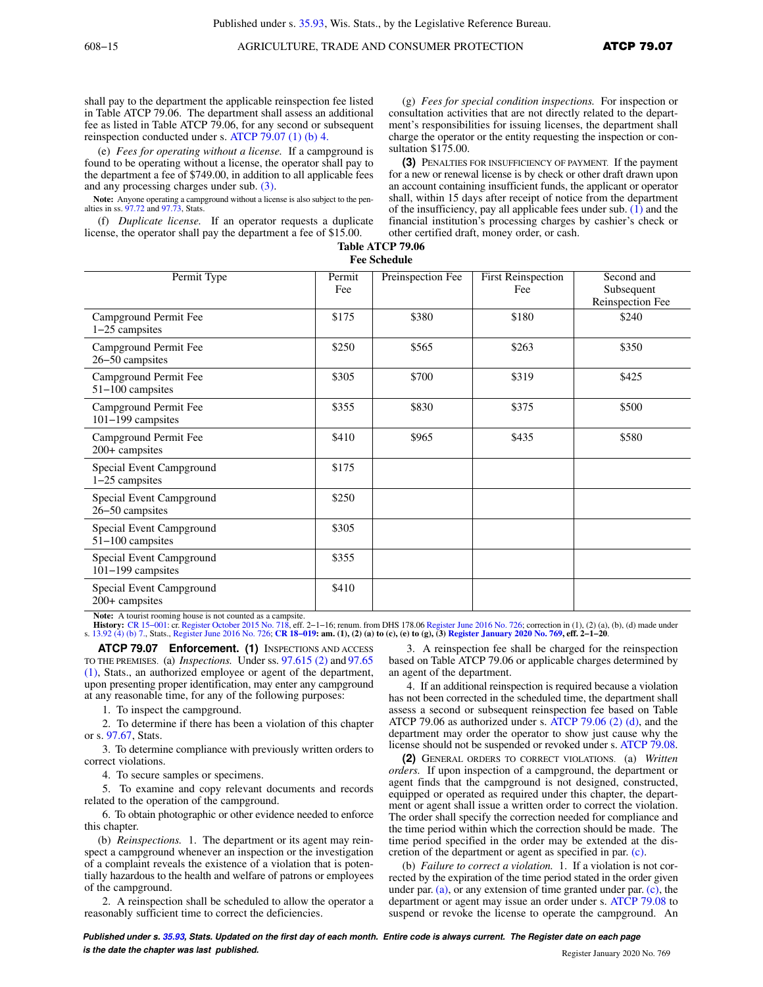shall pay to the department the applicable reinspection fee listed in Table ATCP 79.06. The department shall assess an additional fee as listed in Table ATCP 79.06, for any second or subsequent reinspection conducted under s. ATCP 79.07 (1) (b) 4.

(e) *Fees for operating without a license.* If a campground is found to be operating without a license, the operator shall pay to the department a fee of \$749.00, in addition to all applicable fees and any processing charges under sub. (3).

Note: Anyone operating a campground without a license is also subject to the penalties in ss. 97.72 and 97.73, Stats.

(f) *Duplicate license.* If an operator requests a duplicate license, the operator shall pay the department a fee of \$15.00.

(g) *Fees for special condition inspections.* For inspection or consultation activities that are not directly related to the department's responsibilities for issuing licenses, the department shall charge the operator or the entity requesting the inspection or consultation \$175.00.

**(3)** PENALTIES FOR INSUFFICIENCY OF PAYMENT. If the payment for a new or renewal license is by check or other draft drawn upon an account containing insufficient funds, the applicant or operator shall, within 15 days after receipt of notice from the department of the insufficiency, pay all applicable fees under sub. (1) and the financial institution's processing charges by cashier's check or other certified draft, money order, or cash.

| Table ATCP 79.06    |
|---------------------|
| <b>Fee Schedule</b> |

| Permit Type                                   | Permit<br>Fee | Preinspection Fee | <b>First Reinspection</b><br>Fee | Second and<br>Subsequent<br>Reinspection Fee |
|-----------------------------------------------|---------------|-------------------|----------------------------------|----------------------------------------------|
| Campground Permit Fee<br>1-25 campsites       | \$175         | \$380             | \$180                            | \$240                                        |
| Campground Permit Fee<br>26-50 campsites      | \$250         | \$565             | \$263                            | \$350                                        |
| Campground Permit Fee<br>51-100 campsites     | \$305         | \$700             | \$319                            | \$425                                        |
| Campground Permit Fee<br>101-199 campsites    | \$355         | \$830             | \$375                            | \$500                                        |
| Campground Permit Fee<br>200+ campsites       | \$410         | \$965             | \$435                            | \$580                                        |
| Special Event Campground<br>1-25 campsites    | \$175         |                   |                                  |                                              |
| Special Event Campground<br>26-50 campsites   | \$250         |                   |                                  |                                              |
| Special Event Campground<br>51-100 campsites  | \$305         |                   |                                  |                                              |
| Special Event Campground<br>101-199 campsites | \$355         |                   |                                  |                                              |
| Special Event Campground<br>200+ campsites    | \$410         |                   |                                  |                                              |

Note: A tourist rooming house is not counted as a campsite.<br>**History:** CR 15-001: cr. Register October 2015 No. 718, eff.

**History:** CR 15−001: cr. Register October 2015 No. 718, eff. 2−1−16; renum. from DHS 178.06 Register June 2016 No. 726; correction in (1), (2) (a), (b), (d) made under s. 13.92 (4) (b) 7., Stats., Register June 2016 No. 726; **CR 18−019: am. (1), (2) (a) to (c), (e) to (g), (3) Register January 2020 No. 769, eff. 2−1−20**.

**ATCP 79.07 Enforcement. (1)** INSPECTIONS AND ACCESS TO THE PREMISES. (a) *Inspections.* Under ss. 97.615 (2) and 97.65 (1), Stats., an authorized employee or agent of the department, upon presenting proper identification, may enter any campground at any reasonable time, for any of the following purposes:

1. To inspect the campground.

2. To determine if there has been a violation of this chapter or s. 97.67, Stats.

3. To determine compliance with previously written orders to correct violations.

4. To secure samples or specimens.

5. To examine and copy relevant documents and records related to the operation of the campground.

6. To obtain photographic or other evidence needed to enforce this chapter.

(b) *Reinspections.* 1. The department or its agent may reinspect a campground whenever an inspection or the investigation of a complaint reveals the existence of a violation that is potentially hazardous to the health and welfare of patrons or employees of the campground.

2. A reinspection shall be scheduled to allow the operator a reasonably sufficient time to correct the deficiencies.

3. A reinspection fee shall be charged for the reinspection based on Table ATCP 79.06 or applicable charges determined by an agent of the department.

4. If an additional reinspection is required because a violation has not been corrected in the scheduled time, the department shall assess a second or subsequent reinspection fee based on Table ATCP 79.06 as authorized under s. ATCP 79.06 (2) (d), and the department may order the operator to show just cause why the license should not be suspended or revoked under s. ATCP 79.08.

**(2)** GENERAL ORDERS TO CORRECT VIOLATIONS. (a) *Written orders.* If upon inspection of a campground, the department or agent finds that the campground is not designed, constructed, equipped or operated as required under this chapter, the department or agent shall issue a written order to correct the violation. The order shall specify the correction needed for compliance and the time period within which the correction should be made. The time period specified in the order may be extended at the discretion of the department or agent as specified in par. (c).

(b) *Failure to correct a violation.* 1. If a violation is not corrected by the expiration of the time period stated in the order given under par. (a), or any extension of time granted under par. (c), the department or agent may issue an order under s. ATCP 79.08 to suspend or revoke the license to operate the campground. An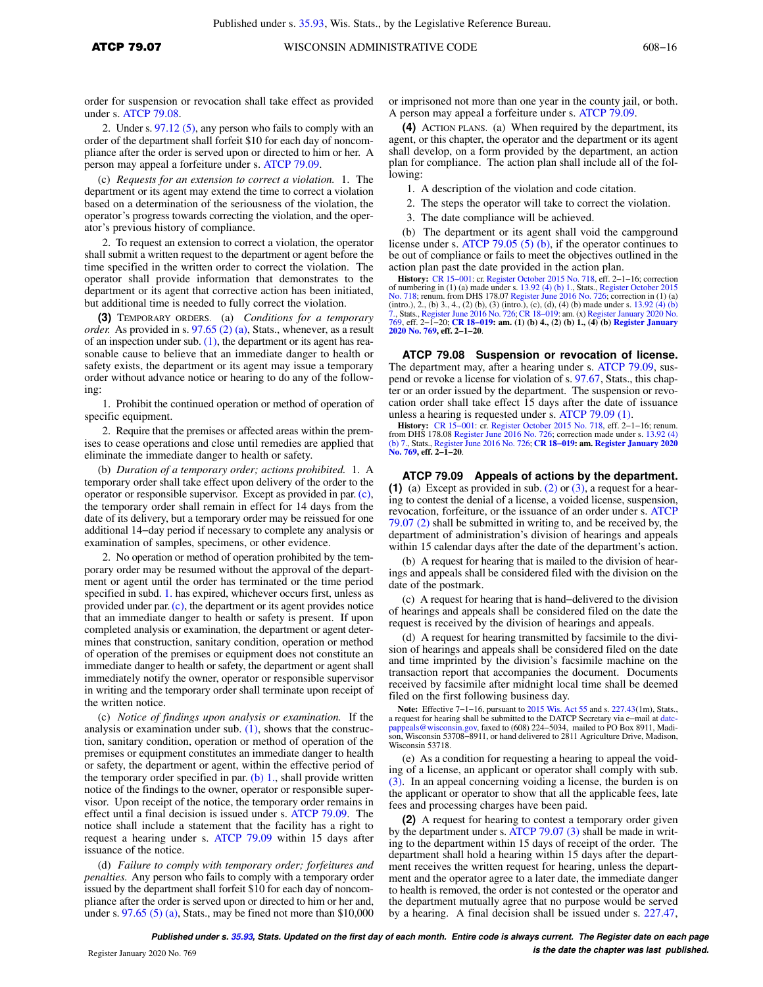order for suspension or revocation shall take effect as provided under s. ATCP 79.08.

2. Under s. 97.12 (5), any person who fails to comply with an order of the department shall forfeit \$10 for each day of noncompliance after the order is served upon or directed to him or her. A person may appeal a forfeiture under s. ATCP 79.09.

(c) *Requests for an extension to correct a violation.* 1. The department or its agent may extend the time to correct a violation based on a determination of the seriousness of the violation, the operator's progress towards correcting the violation, and the operator's previous history of compliance.

2. To request an extension to correct a violation, the operator shall submit a written request to the department or agent before the time specified in the written order to correct the violation. The operator shall provide information that demonstrates to the department or its agent that corrective action has been initiated, but additional time is needed to fully correct the violation.

**(3)** TEMPORARY ORDERS. (a) *Conditions for a temporary order.* As provided in s. 97.65 (2) (a), Stats., whenever, as a result of an inspection under sub.  $(1)$ , the department or its agent has reasonable cause to believe that an immediate danger to health or safety exists, the department or its agent may issue a temporary order without advance notice or hearing to do any of the following:

1. Prohibit the continued operation or method of operation of specific equipment.

2. Require that the premises or affected areas within the premises to cease operations and close until remedies are applied that eliminate the immediate danger to health or safety.

(b) *Duration of a temporary order; actions prohibited.* 1. A temporary order shall take effect upon delivery of the order to the operator or responsible supervisor. Except as provided in par. (c), the temporary order shall remain in effect for 14 days from the date of its delivery, but a temporary order may be reissued for one additional 14−day period if necessary to complete any analysis or examination of samples, specimens, or other evidence.

2. No operation or method of operation prohibited by the temporary order may be resumed without the approval of the department or agent until the order has terminated or the time period specified in subd. 1. has expired, whichever occurs first, unless as provided under par. (c), the department or its agent provides notice that an immediate danger to health or safety is present. If upon completed analysis or examination, the department or agent determines that construction, sanitary condition, operation or method of operation of the premises or equipment does not constitute an immediate danger to health or safety, the department or agent shall immediately notify the owner, operator or responsible supervisor in writing and the temporary order shall terminate upon receipt of the written notice.

(c) *Notice of findings upon analysis or examination.* If the analysis or examination under sub.  $(1)$ , shows that the construction, sanitary condition, operation or method of operation of the premises or equipment constitutes an immediate danger to health or safety, the department or agent, within the effective period of the temporary order specified in par.  $(b)$  1., shall provide written notice of the findings to the owner, operator or responsible supervisor. Upon receipt of the notice, the temporary order remains in effect until a final decision is issued under s. ATCP 79.09. The notice shall include a statement that the facility has a right to request a hearing under s. ATCP 79.09 within 15 days after issuance of the notice.

(d) *Failure to comply with temporary order; forfeitures and penalties.* Any person who fails to comply with a temporary order issued by the department shall forfeit \$10 for each day of noncompliance after the order is served upon or directed to him or her and, under s.  $97.65(5)(a)$ , Stats., may be fined not more than \$10,000 or imprisoned not more than one year in the county jail, or both. A person may appeal a forfeiture under s. ATCP 79.09.

**(4)** ACTION PLANS. (a) When required by the department, its agent, or this chapter, the operator and the department or its agent shall develop, on a form provided by the department, an action plan for compliance. The action plan shall include all of the following:

1. A description of the violation and code citation.

2. The steps the operator will take to correct the violation.

3. The date compliance will be achieved.

(b) The department or its agent shall void the campground license under s. ATCP 79.05 (5) (b), if the operator continues to be out of compliance or fails to meet the objectives outlined in the action plan past the date provided in the action plan.

**History:** CR 15−001: cr. Register October 2015 No. 718, eff. 2−1−16; correction of numbering in (1) (a) made under s. 13.92 (4) (b) 1., Stats., Register October 2015 No. 718; renum. from DHS 178.07 Register June 2016 No. 726; correction in (1) (a) (intro.), 2., (b) 3., 4., (2) (b), (3) (intro.), (c), (d), (4) (b) made under s. 13.92 (4) (b)<br>7., Stats., Register June 2016 No. 726; CR 18–019: am. (x) Register January 2020 No.<br>769, eff. 2–1–20; CR 18–019: am. (1) (b) 4 **2020 No. 769, eff. 2−1−20**.

**ATCP 79.08 Suspension or revocation of license.** The department may, after a hearing under s. ATCP 79.09, suspend or revoke a license for violation of s. 97.67, Stats., this chapter or an order issued by the department. The suspension or revocation order shall take effect 15 days after the date of issuance unless a hearing is requested under s. ATCP 79.09 (1).

**History:** CR 15–001: cr. Register October 2015 No. 718, eff. 2–1–16; renum.<br>from DHS 178.08 Register June 2016 No. 726; correction made under s. 13.92 (4)<br>(b) 7., Stats., Register June 2016 No. 726; CR 18–019: am. Registe **No. 769, eff. 2−1−20**.

**ATCP 79.09 Appeals of actions by the department. (1)** (a) Except as provided in sub. (2) or (3), a request for a hearing to contest the denial of a license, a voided license, suspension, revocation, forfeiture, or the issuance of an order under s. ATCP 79.07 (2) shall be submitted in writing to, and be received by, the department of administration's division of hearings and appeals within 15 calendar days after the date of the department's action.

(b) A request for hearing that is mailed to the division of hearings and appeals shall be considered filed with the division on the date of the postmark.

(c) A request for hearing that is hand−delivered to the division of hearings and appeals shall be considered filed on the date the request is received by the division of hearings and appeals.

(d) A request for hearing transmitted by facsimile to the division of hearings and appeals shall be considered filed on the date and time imprinted by the division's facsimile machine on the transaction report that accompanies the document. Documents received by facsimile after midnight local time shall be deemed filed on the first following business day.

Note: Effective 7–1–16, pursuant to 2015 Wis. Act 55 and s. 227.43(1m), Stats., a request for hearing shall be submitted to the DATCP Secretary via e–mail at date-<br>pappeals @ wisconsin.gov, faxed to (608) 224–5034, mailed Wisconsin 53718.

(e) As a condition for requesting a hearing to appeal the voiding of a license, an applicant or operator shall comply with sub. (3). In an appeal concerning voiding a license, the burden is on the applicant or operator to show that all the applicable fees, late fees and processing charges have been paid.

**(2)** A request for hearing to contest a temporary order given by the department under s. ATCP 79.07 (3) shall be made in writing to the department within 15 days of receipt of the order. The department shall hold a hearing within 15 days after the department receives the written request for hearing, unless the department and the operator agree to a later date, the immediate danger to health is removed, the order is not contested or the operator and the department mutually agree that no purpose would be served by a hearing. A final decision shall be issued under s. 227.47,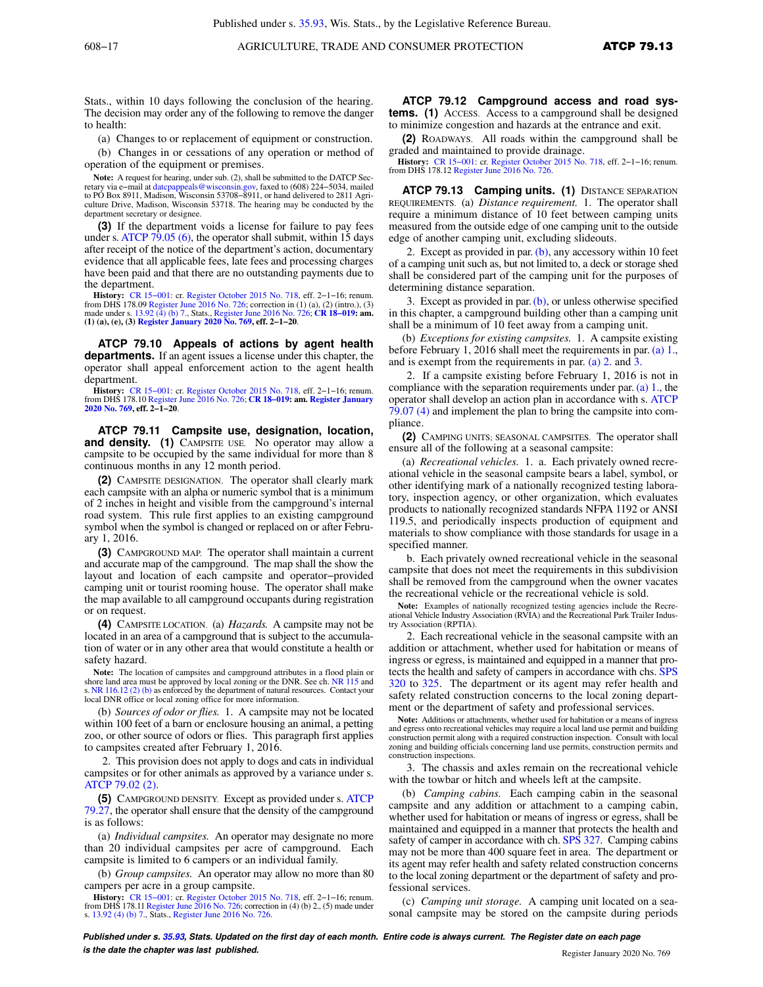Stats., within 10 days following the conclusion of the hearing. The decision may order any of the following to remove the danger to health:

(a) Changes to or replacement of equipment or construction.

(b) Changes in or cessations of any operation or method of operation of the equipment or premises.

**Note:** A request for hearing, under sub. (2), shall be submitted to the DATCP Secretary via e−mail at datcpappeals@wisconsin.gov, faxed to (608) 224−5034, mailed to PO Box 8911, Madison, Wisconsin 53708−8911, or hand delivered to 2811 Agriculture Drive, Madison, Wisconsin 53718. The hearing may be conducted by the department secretary or designee.

**(3)** If the department voids a license for failure to pay fees under s. ATCP 79.05 (6), the operator shall submit, within 15 days after receipt of the notice of the department's action, documentary evidence that all applicable fees, late fees and processing charges have been paid and that there are no outstanding payments due to the department.

**History:** CR 15–001: cr. Register October 2015 No. 718, eff. 2–1–16; renum.<br>from DHS 178.09 Register June 2016 No. 726; correction in (1) (a), (2) (intro.), (3)<br>made under s. 13.92 (4) (b) 7., Stats., Register June 2016 **(1) (a), (e), (3) Register January 2020 No. 769, eff. 2−1−20**.

**ATCP 79.10 Appeals of actions by agent health departments.** If an agent issues a license under this chapter, the operator shall appeal enforcement action to the agent health department.

**History:** CR 15−001: cr. Register October 2015 No. 718, eff. 2−1−16; renum. from DHS 178.10 Register June 2016 No. 726; **CR 18−019: am. Register January 2020 No. 769, eff. 2−1−20**.

**ATCP 79.11 Campsite use, designation, location, and density. (1)** CAMPSITE USE. No operator may allow a campsite to be occupied by the same individual for more than 8 continuous months in any 12 month period.

**(2)** CAMPSITE DESIGNATION. The operator shall clearly mark each campsite with an alpha or numeric symbol that is a minimum of 2 inches in height and visible from the campground's internal road system. This rule first applies to an existing campground symbol when the symbol is changed or replaced on or after February 1, 2016.

**(3)** CAMPGROUND MAP. The operator shall maintain a current and accurate map of the campground. The map shall the show the layout and location of each campsite and operator−provided camping unit or tourist rooming house. The operator shall make the map available to all campground occupants during registration or on request.

**(4)** CAMPSITE LOCATION. (a) *Hazards.* A campsite may not be located in an area of a campground that is subject to the accumulation of water or in any other area that would constitute a health or safety hazard.

**Note:** The location of campsites and campground attributes in a flood plain or shore land area must be approved by local zoning or the DNR. See ch. NR 115 and s. NR 116.12 (2) (b) as enforced by the department of natural resources. Contact your local DNR office or local zoning office for more information.

(b) *Sources of odor or flies.* 1. A campsite may not be located within 100 feet of a barn or enclosure housing an animal, a petting zoo, or other source of odors or flies. This paragraph first applies to campsites created after February 1, 2016.

2. This provision does not apply to dogs and cats in individual campsites or for other animals as approved by a variance under s. ATCP 79.02 (2).

**(5)** CAMPGROUND DENSITY. Except as provided under s. ATCP 79.27, the operator shall ensure that the density of the campground is as follows:

(a) *Individual campsites.* An operator may designate no more than 20 individual campsites per acre of campground. Each campsite is limited to 6 campers or an individual family.

(b) *Group campsites.* An operator may allow no more than 80 campers per acre in a group campsite.

**History:** CR 15–001: cr. Register October 2015 No. 718, eff. 2–1–16; renum. from DHS 178.11 Register June 2016 No. 726; correction in (4) (b) 2., (5) made under s. 13.92 (4) (b) 7., Stats., Register June 2016 No. 726.

**ATCP 79.12 Campground access and road systems.** (1) ACCESS. Access to a campground shall be designed to minimize congestion and hazards at the entrance and exit.

**(2)** ROADWAYS. All roads within the campground shall be graded and maintained to provide drainage.

**History:** CR 15−001: cr. Register October 2015 No. 718, eff. 2−1−16; renum. from DHS 178.12 Register June 2016 No. 726.

**ATCP 79.13 Camping units. (1)** DISTANCE SEPARATION REQUIREMENTS. (a) *Distance requirement.* 1. The operator shall require a minimum distance of 10 feet between camping units measured from the outside edge of one camping unit to the outside edge of another camping unit, excluding slideouts.

2. Except as provided in par.  $(b)$ , any accessory within 10 feet of a camping unit such as, but not limited to, a deck or storage shed shall be considered part of the camping unit for the purposes of determining distance separation.

3. Except as provided in par.  $(b)$ , or unless otherwise specified in this chapter, a campground building other than a camping unit shall be a minimum of 10 feet away from a camping unit.

(b) *Exceptions for existing campsites.* 1. A campsite existing before February 1, 2016 shall meet the requirements in par. (a) 1., and is exempt from the requirements in par. (a) 2. and 3.

2. If a campsite existing before February 1, 2016 is not in compliance with the separation requirements under par. (a) 1., the operator shall develop an action plan in accordance with s. ATCP 79.07 (4) and implement the plan to bring the campsite into compliance.

**(2)** CAMPING UNITS; SEASONAL CAMPSITES. The operator shall ensure all of the following at a seasonal campsite:

(a) *Recreational vehicles.* 1. a. Each privately owned recreational vehicle in the seasonal campsite bears a label, symbol, or other identifying mark of a nationally recognized testing laboratory, inspection agency, or other organization, which evaluates products to nationally recognized standards NFPA 1192 or ANSI 119.5, and periodically inspects production of equipment and materials to show compliance with those standards for usage in a specified manner.

b. Each privately owned recreational vehicle in the seasonal campsite that does not meet the requirements in this subdivision shall be removed from the campground when the owner vacates the recreational vehicle or the recreational vehicle is sold.

Note: Examples of nationally recognized testing agencies include the Recre-<br>ational Vehicle Industry Association (RVIA) and the Recreational Park Trailer Industry Association (RPTIA).

2. Each recreational vehicle in the seasonal campsite with an addition or attachment, whether used for habitation or means of ingress or egress, is maintained and equipped in a manner that protects the health and safety of campers in accordance with chs. SPS 320 to 325. The department or its agent may refer health and safety related construction concerns to the local zoning department or the department of safety and professional services.

**Note:** Additions or attachments, whether used for habitation or a means of ingress and egress onto recreational vehicles may require a local land use permit and building construction permit along with a required construction inspection. Consult with local zoning and building officials concerning land use permits, construction permits and construction inspections.

3. The chassis and axles remain on the recreational vehicle with the towbar or hitch and wheels left at the campsite.

(b) *Camping cabins.* Each camping cabin in the seasonal campsite and any addition or attachment to a camping cabin, whether used for habitation or means of ingress or egress, shall be maintained and equipped in a manner that protects the health and safety of camper in accordance with ch. SPS 327. Camping cabins may not be more than 400 square feet in area. The department or its agent may refer health and safety related construction concerns to the local zoning department or the department of safety and professional services.

(c) *Camping unit storage.* A camping unit located on a seasonal campsite may be stored on the campsite during periods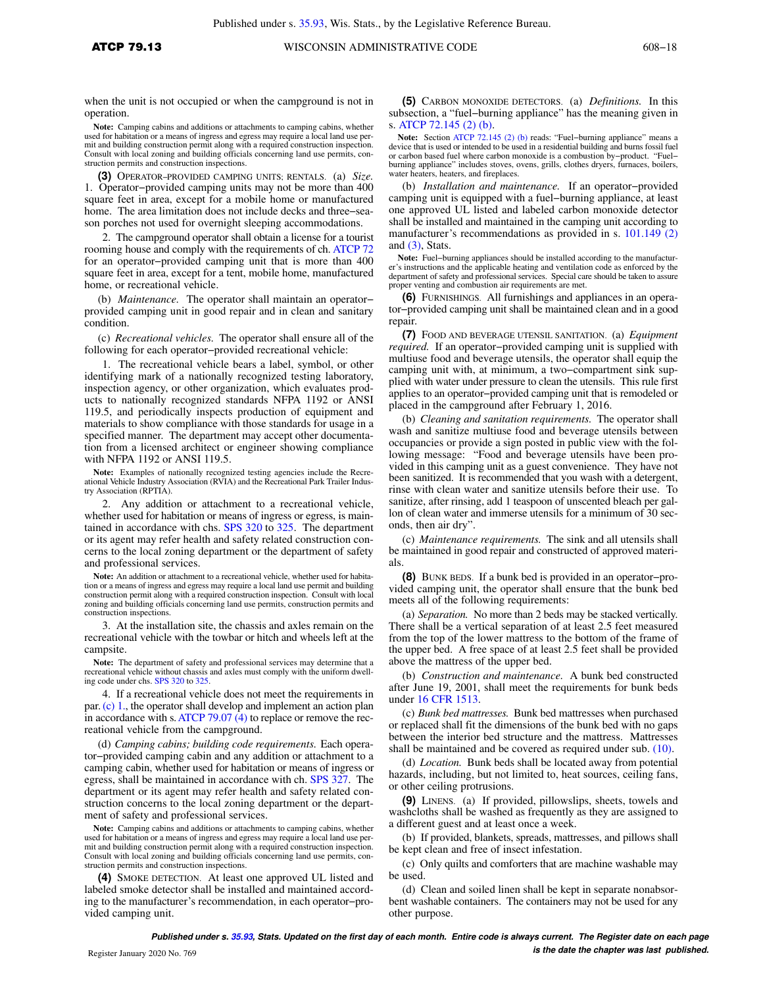when the unit is not occupied or when the campground is not in operation.

**Note:** Camping cabins and additions or attachments to camping cabins, whether used for habitation or a means of ingress and egress may require a local land use per-mit and building construction permit along with a required construction inspection. Consult with local zoning and building officials concerning land use permits, construction permits and construction inspections.

**(3)** OPERATOR−PROVIDED CAMPING UNITS; RENTALS. (a) *Size.* 1. Operator−provided camping units may not be more than 400 square feet in area, except for a mobile home or manufactured home. The area limitation does not include decks and three−season porches not used for overnight sleeping accommodations.

2. The campground operator shall obtain a license for a tourist rooming house and comply with the requirements of ch. ATCP 72 for an operator−provided camping unit that is more than 400 square feet in area, except for a tent, mobile home, manufactured home, or recreational vehicle.

(b) *Maintenance.* The operator shall maintain an operator− provided camping unit in good repair and in clean and sanitary condition.

(c) *Recreational vehicles.* The operator shall ensure all of the following for each operator−provided recreational vehicle:

1. The recreational vehicle bears a label, symbol, or other identifying mark of a nationally recognized testing laboratory, inspection agency, or other organization, which evaluates products to nationally recognized standards NFPA 1192 or ANSI 119.5, and periodically inspects production of equipment and materials to show compliance with those standards for usage in a specified manner. The department may accept other documentation from a licensed architect or engineer showing compliance with NFPA 1192 or ANSI 119.5.

**Note:** Examples of nationally recognized testing agencies include the Recreational Vehicle Industry Association (RVIA) and the Recreational Park Trailer Indus-try Association (RPTIA).

2. Any addition or attachment to a recreational vehicle, whether used for habitation or means of ingress or egress, is maintained in accordance with chs. SPS 320 to 325. The department or its agent may refer health and safety related construction concerns to the local zoning department or the department of safety and professional services.

**Note:** An addition or attachment to a recreational vehicle, whether used for habitation or a means of ingress and egress may require a local land use permit and building construction permit along with a required construction inspection. Consult with local zoning and building officials concerning land use permits, construction permits and construction inspections.

3. At the installation site, the chassis and axles remain on the recreational vehicle with the towbar or hitch and wheels left at the campsite.

**Note:** The department of safety and professional services may determine that a recreational vehicle without chassis and axles must comply with the uniform dwelling code under chs. SPS 320 to 325.

4. If a recreational vehicle does not meet the requirements in par.(c) 1., the operator shall develop and implement an action plan in accordance with s.ATCP 79.07 (4) to replace or remove the recreational vehicle from the campground.

(d) *Camping cabins; building code requirements.* Each operator−provided camping cabin and any addition or attachment to a camping cabin, whether used for habitation or means of ingress or egress, shall be maintained in accordance with ch. SPS 327. The department or its agent may refer health and safety related construction concerns to the local zoning department or the department of safety and professional services.

**Note:** Camping cabins and additions or attachments to camping cabins, whether used for habitation or a means of ingress and egress may require a local land use permit and building construction permit along with a required construction inspection. Consult with local zoning and building officials concerning land use permits, construction permits and construction inspections.

**(4)** SMOKE DETECTION. At least one approved UL listed and labeled smoke detector shall be installed and maintained according to the manufacturer's recommendation, in each operator−provided camping unit.

**(5)** CARBON MONOXIDE DETECTORS. (a) *Definitions.* In this subsection, a "fuel−burning appliance" has the meaning given in s. ATCP 72.145 (2) (b).

**Note:** Section ATCP 72.145 (2) (b) reads: "Fuel−burning appliance" means a device that is used or intended to be used in a residential building and burns fossil fuel or carbon based fuel where carbon monoxide is a combustion by−product. "Fuel− burning appliance" includes stoves, ovens, grills, clothes dryers, furnaces, boilers, water heaters, heaters, and fireplaces.

(b) *Installation and maintenance.* If an operator−provided camping unit is equipped with a fuel−burning appliance, at least one approved UL listed and labeled carbon monoxide detector shall be installed and maintained in the camping unit according to manufacturer's recommendations as provided in s. 101.149 (2) and (3), Stats.

**Note:** Fuel−burning appliances should be installed according to the manufacturer's instructions and the applicable heating and ventilation code as enforced by the department of safety and professional services. Special care should be taken to assure proper venting and combustion air requirements are met.

**(6)** FURNISHINGS. All furnishings and appliances in an operator−provided camping unit shall be maintained clean and in a good repair.

**(7)** FOOD AND BEVERAGE UTENSIL SANITATION. (a) *Equipment required.* If an operator−provided camping unit is supplied with multiuse food and beverage utensils, the operator shall equip the camping unit with, at minimum, a two−compartment sink supplied with water under pressure to clean the utensils. This rule first applies to an operator−provided camping unit that is remodeled or placed in the campground after February 1, 2016.

(b) *Cleaning and sanitation requirements.* The operator shall wash and sanitize multiuse food and beverage utensils between occupancies or provide a sign posted in public view with the following message: "Food and beverage utensils have been provided in this camping unit as a guest convenience. They have not been sanitized. It is recommended that you wash with a detergent, rinse with clean water and sanitize utensils before their use. To sanitize, after rinsing, add 1 teaspoon of unscented bleach per gallon of clean water and immerse utensils for a minimum of 30 seconds, then air dry".

(c) *Maintenance requirements.* The sink and all utensils shall be maintained in good repair and constructed of approved materials.

**(8)** BUNK BEDS. If a bunk bed is provided in an operator−provided camping unit, the operator shall ensure that the bunk bed meets all of the following requirements:

(a) *Separation.* No more than 2 beds may be stacked vertically. There shall be a vertical separation of at least 2.5 feet measured from the top of the lower mattress to the bottom of the frame of the upper bed. A free space of at least 2.5 feet shall be provided above the mattress of the upper bed.

(b) *Construction and maintenance.* A bunk bed constructed after June 19, 2001, shall meet the requirements for bunk beds under 16 CFR 1513.

(c) *Bunk bed mattresses.* Bunk bed mattresses when purchased or replaced shall fit the dimensions of the bunk bed with no gaps between the interior bed structure and the mattress. Mattresses shall be maintained and be covered as required under sub. (10).

(d) *Location.* Bunk beds shall be located away from potential hazards, including, but not limited to, heat sources, ceiling fans, or other ceiling protrusions.

**(9)** LINENS. (a) If provided, pillowslips, sheets, towels and washcloths shall be washed as frequently as they are assigned to a different guest and at least once a week.

(b) If provided, blankets, spreads, mattresses, and pillows shall be kept clean and free of insect infestation.

(c) Only quilts and comforters that are machine washable may be used.

(d) Clean and soiled linen shall be kept in separate nonabsorbent washable containers. The containers may not be used for any other purpose.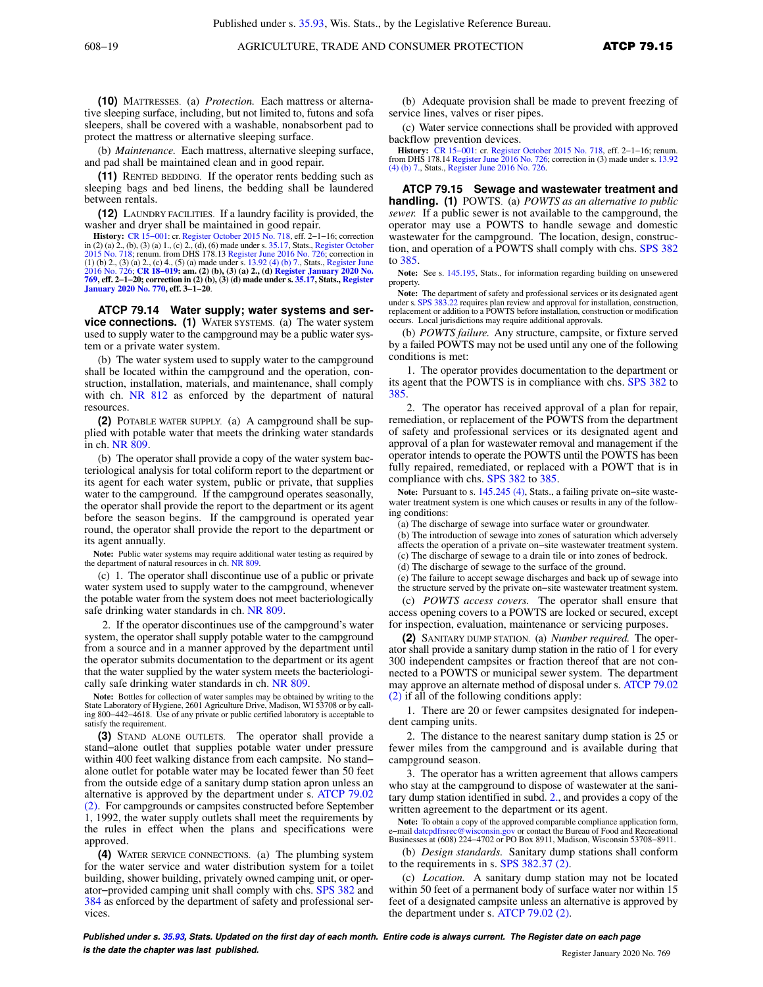**(10)** MATTRESSES. (a) *Protection.* Each mattress or alternative sleeping surface, including, but not limited to, futons and sofa sleepers, shall be covered with a washable, nonabsorbent pad to protect the mattress or alternative sleeping surface.

(b) *Maintenance.* Each mattress, alternative sleeping surface, and pad shall be maintained clean and in good repair.

**(11)** RENTED BEDDING. If the operator rents bedding such as sleeping bags and bed linens, the bedding shall be laundered between rentals.

**(12)** LAUNDRY FACILITIES. If a laundry facility is provided, the washer and dryer shall be maintained in good repair.

**History:** CR 15–001: cr. Register October 2015 No. 718, eff. 2–1–16; correction in (2) (a) 2., (b), (3) (a) 1., (c) 2., (d), (6) made under s. 35.17, Stats., Register October 2015 No. 718; renum. from DHS 178.13 Register **769, eff. 2−1−20; correction in (2) (b), (3) (d) made under s. 35.17, Stats., Register January 2020 No. 770, eff. 3−1−20**.

**ATCP 79.14 Water supply; water systems and service connections. (1)** WATER SYSTEMS. (a) The water system used to supply water to the campground may be a public water system or a private water system.

(b) The water system used to supply water to the campground shall be located within the campground and the operation, construction, installation, materials, and maintenance, shall comply with ch. NR 812 as enforced by the department of natural resources.

**(2)** POTABLE WATER SUPPLY. (a) A campground shall be supplied with potable water that meets the drinking water standards in ch. NR 809.

(b) The operator shall provide a copy of the water system bacteriological analysis for total coliform report to the department or its agent for each water system, public or private, that supplies water to the campground. If the campground operates seasonally, the operator shall provide the report to the department or its agent before the season begins. If the campground is operated year round, the operator shall provide the report to the department or its agent annually.

Note: Public water systems may require additional water testing as required by the department of natural resources in ch. NR 809.

(c) 1. The operator shall discontinue use of a public or private water system used to supply water to the campground, whenever the potable water from the system does not meet bacteriologically safe drinking water standards in ch. NR 809.

2. If the operator discontinues use of the campground's water system, the operator shall supply potable water to the campground from a source and in a manner approved by the department until the operator submits documentation to the department or its agent that the water supplied by the water system meets the bacteriologically safe drinking water standards in ch. NR 809.

**Note:** Bottles for collection of water samples may be obtained by writing to the State Laboratory of Hygiene, 2601 Agriculture Drive, Madison, WI 53708 or by calling 800−442−4618. Use of any private or public certified laboratory is acceptable to satisfy the requirement.

**(3)** STAND ALONE OUTLETS. The operator shall provide a stand−alone outlet that supplies potable water under pressure within 400 feet walking distance from each campsite. No stand– alone outlet for potable water may be located fewer than 50 feet from the outside edge of a sanitary dump station apron unless an alternative is approved by the department under s. ATCP 79.02 (2). For campgrounds or campsites constructed before September 1, 1992, the water supply outlets shall meet the requirements by the rules in effect when the plans and specifications were approved.

**(4)** WATER SERVICE CONNECTIONS. (a) The plumbing system for the water service and water distribution system for a toilet building, shower building, privately owned camping unit, or operator−provided camping unit shall comply with chs. SPS 382 and 384 as enforced by the department of safety and professional services.

(b) Adequate provision shall be made to prevent freezing of service lines, valves or riser pipes.

(c) Water service connections shall be provided with approved backflow prevention devices.

**History:** CR 15−001: cr. Register October 2015 No. 718, eff. 2−1−16; renum. from DHS 178.14 Register June 2016 No. 726; correction in (3) made under s. 13.92 (4) (b) 7., Stats., Register June 2016 No. 726.

**ATCP 79.15 Sewage and wastewater treatment and handling. (1)** POWTS. (a) *POWTS as an alternative to public sewer.* If a public sewer is not available to the campground, the operator may use a POWTS to handle sewage and domestic wastewater for the campground. The location, design, construction, and operation of a POWTS shall comply with chs. SPS 382 to 385.

**Note:** See s. 145.195, Stats., for information regarding building on unsewered property.

**Note:** The department of safety and professional services or its designated agent under s. SPS 383.22 requires plan review and approval for installation, construction. 22 requires plan review and approval for installation, construction, replacement or addition to a POWTS before installation, construction or modification occurs. Local jurisdictions may require additional approvals.

(b) *POWTS failure.* Any structure, campsite, or fixture served by a failed POWTS may not be used until any one of the following conditions is met:

1. The operator provides documentation to the department or its agent that the POWTS is in compliance with chs. SPS 382 to 385.

2. The operator has received approval of a plan for repair, remediation, or replacement of the POWTS from the department of safety and professional services or its designated agent and approval of a plan for wastewater removal and management if the operator intends to operate the POWTS until the POWTS has been fully repaired, remediated, or replaced with a POWT that is in compliance with chs. SPS 382 to 385

**Note:** Pursuant to s. 145.245 (4), Stats., a failing private on−site wastewater treatment system is one which causes or results in any of the following conditions:

(a) The discharge of sewage into surface water or groundwater.

- (b) The introduction of sewage into zones of saturation which adversely
- affects the operation of a private on−site wastewater treatment system. (c) The discharge of sewage to a drain tile or into zones of bedrock.
- (d) The discharge of sewage to the surface of the ground.
- (e) The failure to accept sewage discharges and back up of sewage into
- the structure served by the private on−site wastewater treatment system. (c) *POWTS access covers.* The operator shall ensure that

access opening covers to a POWTS are locked or secured, except for inspection, evaluation, maintenance or servicing purposes.

**(2)** SANITARY DUMP STATION. (a) *Number required.* The operator shall provide a sanitary dump station in the ratio of 1 for every 300 independent campsites or fraction thereof that are not connected to a POWTS or municipal sewer system. The department may approve an alternate method of disposal under s. ATCP 79.02 (2) if all of the following conditions apply:

1. There are 20 or fewer campsites designated for independent camping units.

2. The distance to the nearest sanitary dump station is 25 or fewer miles from the campground and is available during that campground season.

3. The operator has a written agreement that allows campers who stay at the campground to dispose of wastewater at the sanitary dump station identified in subd. 2., and provides a copy of the written agreement to the department or its agent.

**Note:** To obtain a copy of the approved comparable compliance application form, e−mail datcpdfrsrec@wisconsin.gov or contact the Bureau of Food and Recreational Businesses at (608) 224−4702 or PO Box 8911, Madison, Wisconsin 53708−8911.

(b) *Design standards.* Sanitary dump stations shall conform to the requirements in s. SPS 382.37 (2).

(c) *Location.* A sanitary dump station may not be located within 50 feet of a permanent body of surface water nor within 15 feet of a designated campsite unless an alternative is approved by the department under s. ATCP 79.02 (2).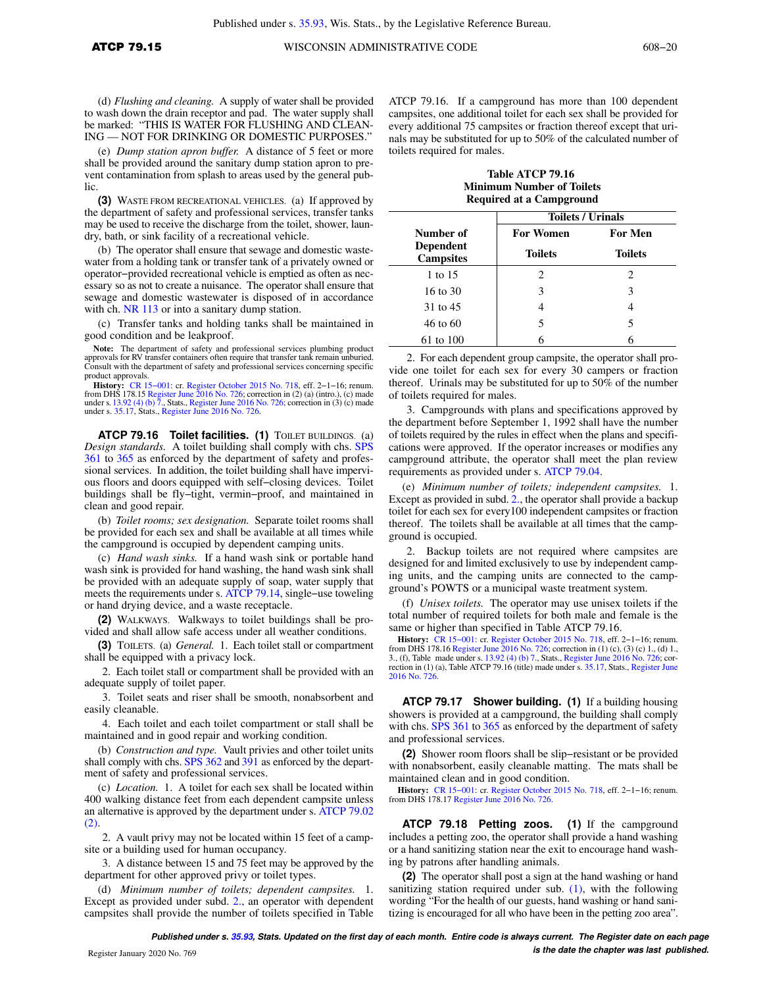(d) *Flushing and cleaning.* A supply of water shall be provided to wash down the drain receptor and pad. The water supply shall be marked: "THIS IS WATER FOR FLUSHING AND CLEAN-ING — NOT FOR DRINKING OR DOMESTIC PURPOSES."

(e) *Dump station apron buffer.* A distance of 5 feet or more shall be provided around the sanitary dump station apron to prevent contamination from splash to areas used by the general public.

**(3)** WASTE FROM RECREATIONAL VEHICLES. (a) If approved by the department of safety and professional services, transfer tanks may be used to receive the discharge from the toilet, shower, laundry, bath, or sink facility of a recreational vehicle.

(b) The operator shall ensure that sewage and domestic wastewater from a holding tank or transfer tank of a privately owned or operator−provided recreational vehicle is emptied as often as necessary so as not to create a nuisance. The operator shall ensure that sewage and domestic wastewater is disposed of in accordance with ch. NR 113 or into a sanitary dump station.

(c) Transfer tanks and holding tanks shall be maintained in good condition and be leakproof.

**Note:** The department of safety and professional services plumbing product approvals for RV transfer containers often require that transfer tank remain unburied. Consult with the department of safety and professional services concerning specific product approvals.

**History:** CR 15−001: cr. Register October 2015 No. 718, eff. 2−1−16; renum. from DHS 178.15 Register June 2016 No. 726; correction in (2) (a) (intro.), (c) made<br>under s. 13.92 (4) (b) 7., Stats., Register June 2016 No. 726; correction in (3) (c) made<br>under s. 35.17, Stats., Register June 2016 No.

**ATCP 79.16 Toilet facilities. (1)** TOILET BUILDINGS. (a) *Design standards.* A toilet building shall comply with chs. SPS 361 to 365 as enforced by the department of safety and professional services. In addition, the toilet building shall have impervious floors and doors equipped with self−closing devices. Toilet buildings shall be fly−tight, vermin−proof, and maintained in clean and good repair.

(b) *Toilet rooms; sex designation.* Separate toilet rooms shall be provided for each sex and shall be available at all times while the campground is occupied by dependent camping units.

(c) *Hand wash sinks.* If a hand wash sink or portable hand wash sink is provided for hand washing, the hand wash sink shall be provided with an adequate supply of soap, water supply that meets the requirements under s. ATCP 79.14, single−use toweling or hand drying device, and a waste receptacle.

**(2)** WALKWAYS. Walkways to toilet buildings shall be provided and shall allow safe access under all weather conditions.

**(3)** TOILETS. (a) *General.* 1. Each toilet stall or compartment shall be equipped with a privacy lock.

2. Each toilet stall or compartment shall be provided with an adequate supply of toilet paper.

3. Toilet seats and riser shall be smooth, nonabsorbent and easily cleanable.

4. Each toilet and each toilet compartment or stall shall be maintained and in good repair and working condition.

(b) *Construction and type.* Vault privies and other toilet units shall comply with chs. SPS 362 and 391 as enforced by the department of safety and professional services.

(c) *Location.* 1. A toilet for each sex shall be located within 400 walking distance feet from each dependent campsite unless an alternative is approved by the department under s. ATCP 79.02 (2).

2. A vault privy may not be located within 15 feet of a campsite or a building used for human occupancy.

3. A distance between 15 and 75 feet may be approved by the department for other approved privy or toilet types.

(d) *Minimum number of toilets; dependent campsites.* 1. Except as provided under subd. 2., an operator with dependent campsites shall provide the number of toilets specified in Table

ATCP 79.16. If a campground has more than 100 dependent campsites, one additional toilet for each sex shall be provided for every additional 75 campsites or fraction thereof except that urinals may be substituted for up to 50% of the calculated number of toilets required for males.

**Table ATCP 79.16 Minimum Number of Toilets Required at a Campground**

|                                      | <b>Toilets / Urinals</b> |                |  |
|--------------------------------------|--------------------------|----------------|--|
| Number of                            | <b>For Women</b>         | <b>For Men</b> |  |
| <b>Dependent</b><br><b>Campsites</b> | <b>Toilets</b>           | <b>Toilets</b> |  |
| 1 to 15                              | 2                        | 2              |  |
| $16$ to $30$                         | 3                        | 3              |  |
| 31 to 45                             |                          |                |  |
| 46 to 60                             | 5                        | 5              |  |
| 61 to 100                            |                          | 6              |  |

2. For each dependent group campsite, the operator shall provide one toilet for each sex for every 30 campers or fraction thereof. Urinals may be substituted for up to 50% of the number of toilets required for males.

3. Campgrounds with plans and specifications approved by the department before September 1, 1992 shall have the number of toilets required by the rules in effect when the plans and specifications were approved. If the operator increases or modifies any campground attribute, the operator shall meet the plan review requirements as provided under s. ATCP 79.04.

(e) *Minimum number of toilets; independent campsites.* 1. Except as provided in subd. 2., the operator shall provide a backup toilet for each sex for every100 independent campsites or fraction thereof. The toilets shall be available at all times that the campground is occupied.

2. Backup toilets are not required where campsites are designed for and limited exclusively to use by independent camping units, and the camping units are connected to the campground's POWTS or a municipal waste treatment system.

(f) *Unisex toilets.* The operator may use unisex toilets if the total number of required toilets for both male and female is the same or higher than specified in Table ATCP 79.16.

**History:** CR 15−001: cr. Register October 2015 No. 718, eff. 2−1−16; renum. from DHS 178.16 Register June 2016 No. 726; correction in (1) (c), (3) (c) 1., (d) 1., 3., (f), Table made under s. 13.92 (4) (b) 7., Stats., Register June 2016 No. 726; correction in (1) (a), Table ATCP 79.16 (title) made under s. 35.17, Stats., Register June 2016 No. 726.

**ATCP 79.17 Shower building. (1)** If a building housing showers is provided at a campground, the building shall comply with chs. SPS 361 to 365 as enforced by the department of safety and professional services.

**(2)** Shower room floors shall be slip−resistant or be provided with nonabsorbent, easily cleanable matting. The mats shall be maintained clean and in good condition.

**History:** CR 15−001: cr. Register October 2015 No. 718, eff. 2−1−16; renum. from DHS 178.17 Register June 2016 No. 726.

**ATCP 79.18 Petting zoos. (1)** If the campground includes a petting zoo, the operator shall provide a hand washing or a hand sanitizing station near the exit to encourage hand washing by patrons after handling animals.

**(2)** The operator shall post a sign at the hand washing or hand sanitizing station required under sub.  $(1)$ , with the following wording "For the health of our guests, hand washing or hand sanitizing is encouraged for all who have been in the petting zoo area".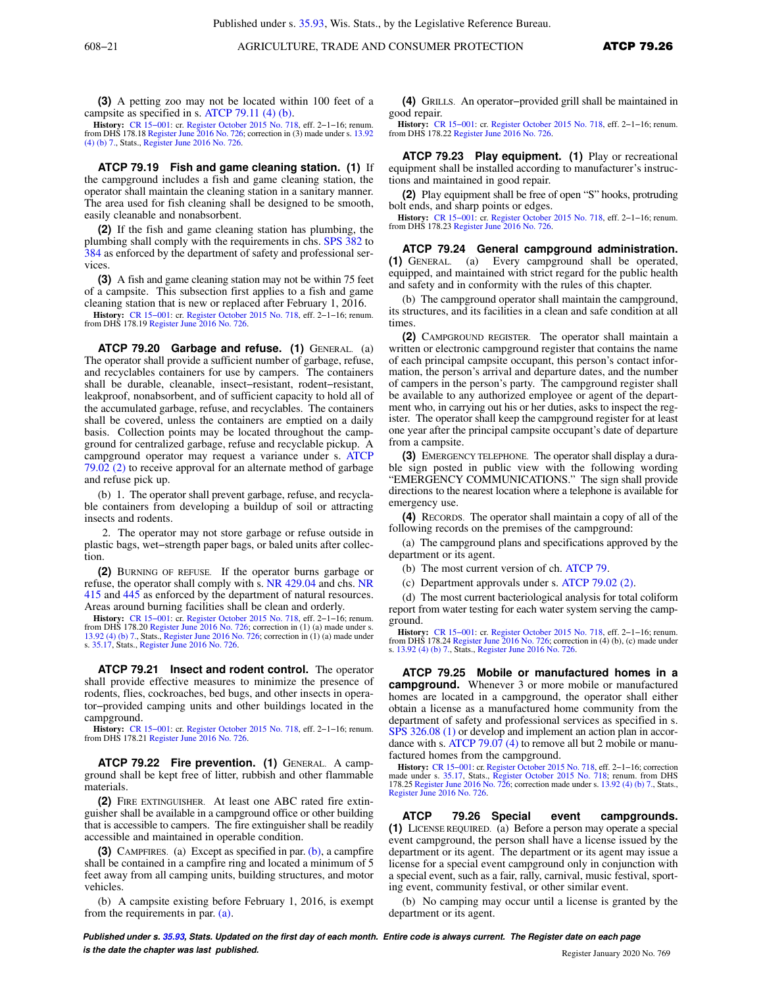**(3)** A petting zoo may not be located within 100 feet of a campsite as specified in s. ATCP 79.11 (4) (b).

**History:** CR 15−001: cr. Register October 2015 No. 718, eff. 2−1−16; renum. from DHS 178.18 Register June 2016 No. 726; correction in (3) made under s. 13.92 (4) (b) 7., Stats., Register June 2016 No. 726.

**ATCP 79.19 Fish and game cleaning station. (1)** If the campground includes a fish and game cleaning station, the operator shall maintain the cleaning station in a sanitary manner. The area used for fish cleaning shall be designed to be smooth, easily cleanable and nonabsorbent.

**(2)** If the fish and game cleaning station has plumbing, the plumbing shall comply with the requirements in chs. SPS 382 to 384 as enforced by the department of safety and professional services.

**(3)** A fish and game cleaning station may not be within 75 feet of a campsite. This subsection first applies to a fish and game cleaning station that is new or replaced after February 1, 2016.

**History:** CR 15−001: cr. Register October 2015 No. 718, eff. 2−1−16; renum. from DHS 178.19 Register June 2016 No. 726.

**ATCP 79.20 Garbage and refuse. (1)** GENERAL. (a) The operator shall provide a sufficient number of garbage, refuse, and recyclables containers for use by campers. The containers shall be durable, cleanable, insect−resistant, rodent−resistant, leakproof, nonabsorbent, and of sufficient capacity to hold all of the accumulated garbage, refuse, and recyclables. The containers shall be covered, unless the containers are emptied on a daily basis. Collection points may be located throughout the campground for centralized garbage, refuse and recyclable pickup. A campground operator may request a variance under s. ATCP 79.02 (2) to receive approval for an alternate method of garbage and refuse pick up.

(b) 1. The operator shall prevent garbage, refuse, and recyclable containers from developing a buildup of soil or attracting insects and rodents.

2. The operator may not store garbage or refuse outside in plastic bags, wet−strength paper bags, or baled units after collection.

**(2)** BURNING OF REFUSE. If the operator burns garbage or refuse, the operator shall comply with s. NR 429.04 and chs. NR 415 and 445 as enforced by the department of natural resources. Areas around burning facilities shall be clean and orderly.

**History:** CR 15−001: cr. Register October 2015 No. 718, eff. 2−1−16; renum. from DHS 178.20 Register June 2016 No. 726; correction in (1) (a) made under s. 13.92 (4) (b) 7., Stats., Register June 2016 No. 726; correction in (1) (a) made under s. 35.17, Stats., Register June 2016 No. 726.

**ATCP 79.21 Insect and rodent control.** The operator shall provide effective measures to minimize the presence of rodents, flies, cockroaches, bed bugs, and other insects in operator−provided camping units and other buildings located in the campground.

**History:** CR 15−001: cr. Register October 2015 No. 718, eff. 2−1−16; renum. from DHS 178.21 Register June 2016 No. 726.

**ATCP 79.22 Fire prevention. (1)** GENERAL. A campground shall be kept free of litter, rubbish and other flammable materials.

**(2)** FIRE EXTINGUISHER. At least one ABC rated fire extinguisher shall be available in a campground office or other building that is accessible to campers. The fire extinguisher shall be readily accessible and maintained in operable condition.

**(3)** CAMPFIRES. (a) Except as specified in par. (b), a campfire shall be contained in a campfire ring and located a minimum of 5 feet away from all camping units, building structures, and motor vehicles.

(b) A campsite existing before February 1, 2016, is exempt from the requirements in par. (a).

**(4)** GRILLS. An operator−provided grill shall be maintained in good repair.

**History:** CR 15−001: cr. Register October 2015 No. 718, eff. 2−1−16; renum. from DHS 178.22 Register June 2016 No. 726.

**ATCP 79.23 Play equipment. (1)** Play or recreational equipment shall be installed according to manufacturer's instructions and maintained in good repair.

**(2)** Play equipment shall be free of open "S" hooks, protruding bolt ends, and sharp points or edges.

**History:** CR 15−001: cr. Register October 2015 No. 718, eff. 2−1−16; renum. from DHS 178.23 Register June 2016 No. 726.

**ATCP 79.24 General campground administration. (1)** GENERAL. (a) Every campground shall be operated, equipped, and maintained with strict regard for the public health and safety and in conformity with the rules of this chapter.

(b) The campground operator shall maintain the campground, its structures, and its facilities in a clean and safe condition at all times.

**(2)** CAMPGROUND REGISTER. The operator shall maintain a written or electronic campground register that contains the name of each principal campsite occupant, this person's contact information, the person's arrival and departure dates, and the number of campers in the person's party. The campground register shall be available to any authorized employee or agent of the department who, in carrying out his or her duties, asks to inspect the register. The operator shall keep the campground register for at least one year after the principal campsite occupant's date of departure from a campsite.

**(3)** EMERGENCY TELEPHONE. The operator shall display a durable sign posted in public view with the following wording "EMERGENCY COMMUNICATIONS." The sign shall provide directions to the nearest location where a telephone is available for emergency use.

**(4)** RECORDS. The operator shall maintain a copy of all of the following records on the premises of the campground:

(a) The campground plans and specifications approved by the department or its agent.

(b) The most current version of ch. ATCP 79.

(c) Department approvals under s. ATCP 79.02 (2).

(d) The most current bacteriological analysis for total coliform report from water testing for each water system serving the campground.

**History:** CR 15–001: cr. Register October 2015 No. 718, eff. 2–1–16; renum. from DHS 178.24 Register June 2016 No. 726; correction in (4) (b), (c) made under s. 13.92 (4) (b) 7., Stats., Register June 2016 No. 726.

**ATCP 79.25 Mobile or manufactured homes in a campground.** Whenever 3 or more mobile or manufactured homes are located in a campground, the operator shall either obtain a license as a manufactured home community from the department of safety and professional services as specified in s. SPS 326.08 (1) or develop and implement an action plan in accordance with s. ATCP 79.07 (4) to remove all but 2 mobile or manufactured homes from the campground.

**History:** CR 15–001: cr. Register October 2015 No. 718, eff. 2–1–16; correction made under s. 35.17, Stats., Register October 2015 No. 718; renum. from DHS<br>made under s. 35.17, Stats., Register October 2015 No. 718; renum Register June 2016 No. 726.

**ATCP 79.26 Special event campgrounds. (1)** LICENSE REQUIRED. (a) Before a person may operate a special event campground, the person shall have a license issued by the department or its agent. The department or its agent may issue a license for a special event campground only in conjunction with a special event, such as a fair, rally, carnival, music festival, sporting event, community festival, or other similar event.

(b) No camping may occur until a license is granted by the department or its agent.